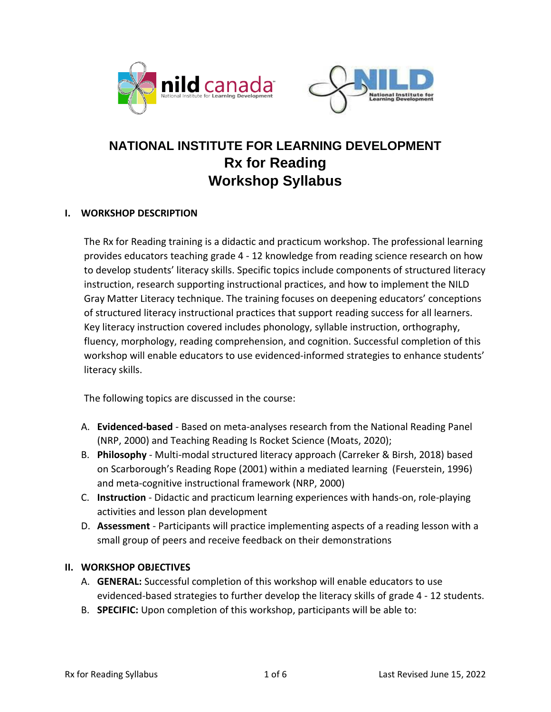



# **NATIONAL INSTITUTE FOR LEARNING DEVELOPMENT Rx for Reading Workshop Syllabus**

# **I. WORKSHOP DESCRIPTION**

The Rx for Reading training is a didactic and practicum workshop. The professional learning provides educators teaching grade 4 - 12 knowledge from reading science research on how to develop students' literacy skills. Specific topics include components of structured literacy instruction, research supporting instructional practices, and how to implement the NILD Gray Matter Literacy technique. The training focuses on deepening educators' conceptions of structured literacy instructional practices that support reading success for all learners. Key literacy instruction covered includes phonology, syllable instruction, orthography, fluency, morphology, reading comprehension, and cognition. Successful completion of this workshop will enable educators to use evidenced-informed strategies to enhance students' literacy skills.

The following topics are discussed in the course:

- A. **Evidenced-based** Based on meta-analyses research from the National Reading Panel (NRP, 2000) and Teaching Reading Is Rocket Science (Moats, 2020);
- B. **Philosophy** Multi-modal structured literacy approach (Carreker & Birsh, 2018) based on Scarborough's Reading Rope (2001) within a mediated learning (Feuerstein, 1996) and meta-cognitive instructional framework (NRP, 2000)
- C. **Instruction**  Didactic and practicum learning experiences with hands-on, role-playing activities and lesson plan development
- D. **Assessment** Participants will practice implementing aspects of a reading lesson with a small group of peers and receive feedback on their demonstrations

#### **II. WORKSHOP OBJECTIVES**

- A. **GENERAL:** Successful completion of this workshop will enable educators to use evidenced-based strategies to further develop the literacy skills of grade 4 - 12 students.
- B. **SPECIFIC:** Upon completion of this workshop, participants will be able to: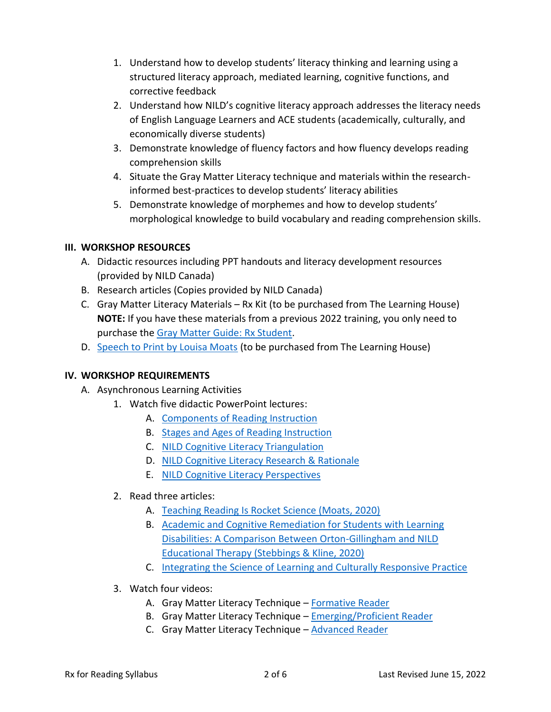- 1. Understand how to develop students' literacy thinking and learning using a structured literacy approach, mediated learning, cognitive functions, and corrective feedback
- 2. Understand how NILD's cognitive literacy approach addresses the literacy needs of English Language Learners and ACE students (academically, culturally, and economically diverse students)
- 3. Demonstrate knowledge of fluency factors and how fluency develops reading comprehension skills
- 4. Situate the Gray Matter Literacy technique and materials within the researchinformed best-practices to develop students' literacy abilities
- 5. Demonstrate knowledge of morphemes and how to develop students' morphological knowledge to build vocabulary and reading comprehension skills.

# **III. WORKSHOP RESOURCES**

- A. Didactic resources including PPT handouts and literacy development resources (provided by NILD Canada)
- B. Research articles (Copies provided by NILD Canada)
- C. Gray Matter Literacy Materials Rx Kit (to be purchased from The Learning House) **NOTE:** If you have these materials from a previous 2022 training, you only need to purchase the [Gray Matter Guide: Rx Student.](https://www.learninghouse.ca/advanced-search.prodsearch.33.html?mode=search&area=searching&keywords=gray+matter)
- D. [Speech to Print by Louisa Moats](https://www.learninghouse.ca/products/6452/products_detail/speech-to-print.html) (to be purchased from The Learning House)

# **IV. WORKSHOP REQUIREMENTS**

- A. Asynchronous Learning Activities
	- 1. Watch five didactic PowerPoint lectures:
		- A. Components [of Reading Instruction](https://vimeo.com/698426488/1921e7fc4c)
		- B. [Stages and Ages of Reading Instruction](https://vimeo.com/698433569/34fe22f7dd)
		- C. [NILD Cognitive Literacy Triangulation](https://vimeo.com/698642450/081de8b770)
		- D. NILD Cognitive [Literacy Research & Rationale](https://vimeo.com/698434923/fec1d75553)
		- E. [NILD Cognitive Literacy Perspectives](https://vimeo.com/698435461/331a0eafca)

# 2. Read three articles:

- A. [Teaching Reading Is Rocket Science \(Moats, 2020\)](https://files.eric.ed.gov/fulltext/EJ1260264.pdf)
- B. [Academic and Cognitive Remediation for Students with Learning](https://www.nild.org/wp-content/uploads/2022/04/NILD-OG-RCT-study-for-cog-lit-workshop.pdf)  [Disabilities: A Comparison Between Orton-Gillingham and NILD](https://www.nild.org/wp-content/uploads/2022/04/NILD-OG-RCT-study-for-cog-lit-workshop.pdf)  [Educational Therapy \(Stebbings & Kline, 2020\)](https://www.nild.org/wp-content/uploads/2022/04/NILD-OG-RCT-study-for-cog-lit-workshop.pdf)
- C. [Integrating the Science of Learning and Culturally Responsive Practice](https://www.aft.org/ae/summer2021/hammond)
- 3. Watch four videos:
	- A. Gray Matter Literacy Technique [Formative Reader](https://vimeo.com/698618204/721794072e)
	- B. Gray Matter Literacy Technique [Emerging/Proficient Reader](https://vimeo.com/695014548/840724833d)
	- C. Gray Matter Literacy Technique [Advanced Reader](https://vimeo.com/695016154/e298f54080)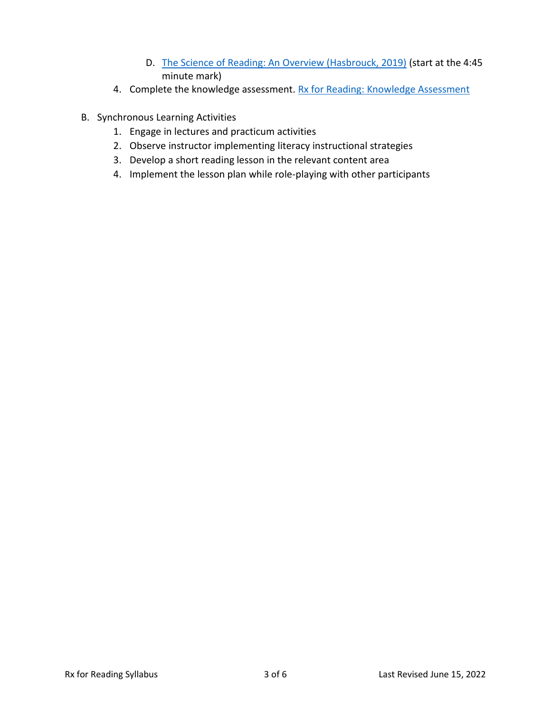- D. The Science [of Reading: An Overview \(Hasbrouck, 2019\)](https://www.youtube.com/watch?v=YTvHSgoTeZE) (start at the 4:45 minute mark)
- 4. Complete the knowledge assessment. [Rx for Reading: Knowledge Assessment](https://docs.google.com/forms/d/1DqyUbwENxSJHNd8ctmWuzuix6DV7Z3WZNIm2xKLXq2Q/edit)
- B. Synchronous Learning Activities
	- 1. Engage in lectures and practicum activities
	- 2. Observe instructor implementing literacy instructional strategies
	- 3. Develop a short reading lesson in the relevant content area
	- 4. Implement the lesson plan while role-playing with other participants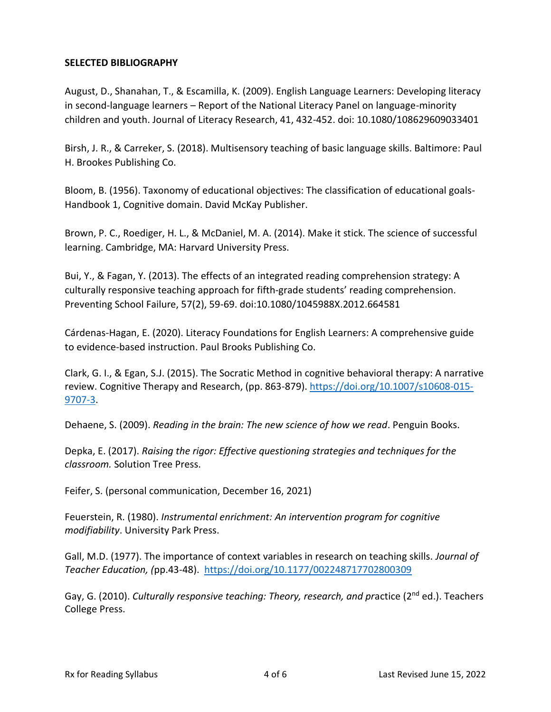### **SELECTED BIBLIOGRAPHY**

August, D., Shanahan, T., & Escamilla, K. (2009). English Language Learners: Developing literacy in second-language learners – Report of the National Literacy Panel on language-minority children and youth. Journal of Literacy Research, 41, 432-452. doi: 10.1080/108629609033401

Birsh, J. R., & Carreker, S. (2018). Multisensory teaching of basic language skills. Baltimore: Paul H. Brookes Publishing Co.

Bloom, B. (1956). Taxonomy of educational objectives: The classification of educational goals-Handbook 1, Cognitive domain. David McKay Publisher.

Brown, P. C., Roediger, H. L., & McDaniel, M. A. (2014). Make it stick. The science of successful learning. Cambridge, MA: Harvard University Press.

Bui, Y., & Fagan, Y. (2013). The effects of an integrated reading comprehension strategy: A culturally responsive teaching approach for fifth-grade students' reading comprehension. Preventing School Failure, 57(2), 59-69. doi:10.1080/1045988X.2012.664581

Cárdenas-Hagan, E. (2020). Literacy Foundations for English Learners: A comprehensive guide to evidence-based instruction. Paul Brooks Publishing Co.

Clark, G. I., & Egan, S.J. (2015). The Socratic Method in cognitive behavioral therapy: A narrative review. Cognitive Therapy and Research, (pp. 863-879). [https://doi.org/10.1007/s10608-015-](https://doi.org/10.1007/s10608-015-9707-3) [9707-3.](https://doi.org/10.1007/s10608-015-9707-3)

Dehaene, S. (2009). *Reading in the brain: The new science of how we read*. Penguin Books.

Depka, E. (2017). *Raising the rigor: Effective questioning strategies and techniques for the classroom.* Solution Tree Press.

Feifer, S. (personal communication, December 16, 2021)

Feuerstein, R. (1980). *Instrumental enrichment: An intervention program for cognitive modifiability*. University Park Press.

Gall, M.D. (1977). The importance of context variables in research on teaching skills. *Journal of Teacher Education, (*pp.43-48). <https://doi.org/10.1177/002248717702800309>

Gay, G. (2010). *Culturally responsive teaching: Theory, research, and pr*actice (2nd ed.). Teachers College Press.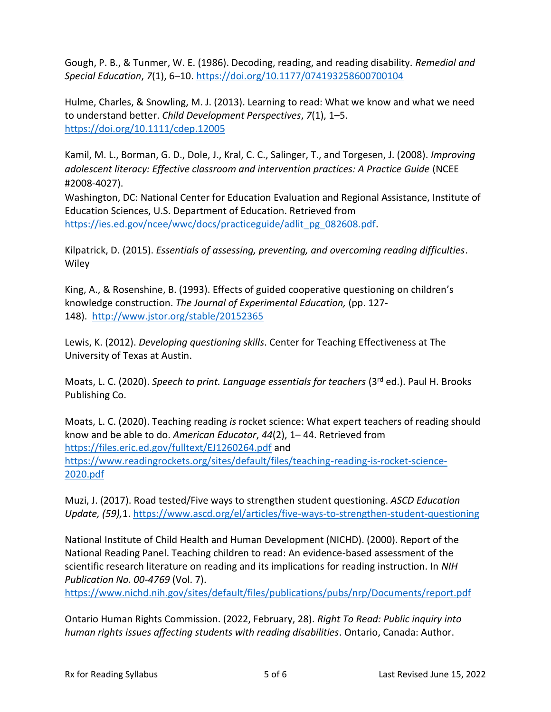Gough, P. B., & Tunmer, W. E. (1986). Decoding, reading, and reading disability. *Remedial and Special Education*, *7*(1), 6–10.<https://doi.org/10.1177/074193258600700104>

Hulme, Charles, & Snowling, M. J. (2013). Learning to read: What we know and what we need to understand better. *Child Development Perspectives*, *7*(1), 1–5. <https://doi.org/10.1111/cdep.12005>

Kamil, M. L., Borman, G. D., Dole, J., Kral, C. C., Salinger, T., and Torgesen, J. (2008). *Improving adolescent literacy: Effective classroom and intervention practices: A Practice Guide* (NCEE #2008-4027).

Washington, DC: National Center for Education Evaluation and Regional Assistance, Institute of Education Sciences, U.S. Department of Education. Retrieved from [https://ies.ed.gov/ncee/wwc/docs/practiceguide/adlit\\_pg\\_082608.pdf.](https://ies.ed.gov/ncee/wwc/docs/practiceguide/adlit_pg_082608.pdf)

Kilpatrick, D. (2015). *Essentials of assessing, preventing, and overcoming reading difficulties*. **Wiley** 

King, A., & Rosenshine, B. (1993). Effects of guided cooperative questioning on children's knowledge construction. *The Journal of Experimental Education,* (pp. 127- 148). <http://www.jstor.org/stable/20152365>

Lewis, K. (2012). *Developing questioning skills*. Center for Teaching Effectiveness at The University of Texas at Austin.

Moats, L. C. (2020). *Speech to print. Language essentials for teachers* (3rd ed.). Paul H. Brooks Publishing Co.

Moats, L. C. (2020). Teaching reading *is* rocket science: What expert teachers of reading should know and be able to do. *American Educator*, *44*(2), 1– 44. Retrieved from <https://files.eric.ed.gov/fulltext/EJ1260264.pdf> and [https://www.readingrockets.org/sites/default/files/teaching-reading-is-rocket-science-](https://www.readingrockets.org/sites/default/files/teaching-reading-is-rocket-science-2020.pdf)[2020.pdf](https://www.readingrockets.org/sites/default/files/teaching-reading-is-rocket-science-2020.pdf)

Muzi, J. (2017). Road tested/Five ways to strengthen student questioning. *ASCD Education Update, (59),*1.<https://www.ascd.org/el/articles/five-ways-to-strengthen-student-questioning>

National Institute of Child Health and Human Development (NICHD). (2000). Report of the National Reading Panel. Teaching children to read: An evidence-based assessment of the scientific research literature on reading and its implications for reading instruction. In *NIH Publication No. 00-4769* (Vol. 7).

<https://www.nichd.nih.gov/sites/default/files/publications/pubs/nrp/Documents/report.pdf>

Ontario Human Rights Commission. (2022, February, 28). *Right To Read: Public inquiry into human rights issues affecting students with reading disabilities*. Ontario, Canada: Author.